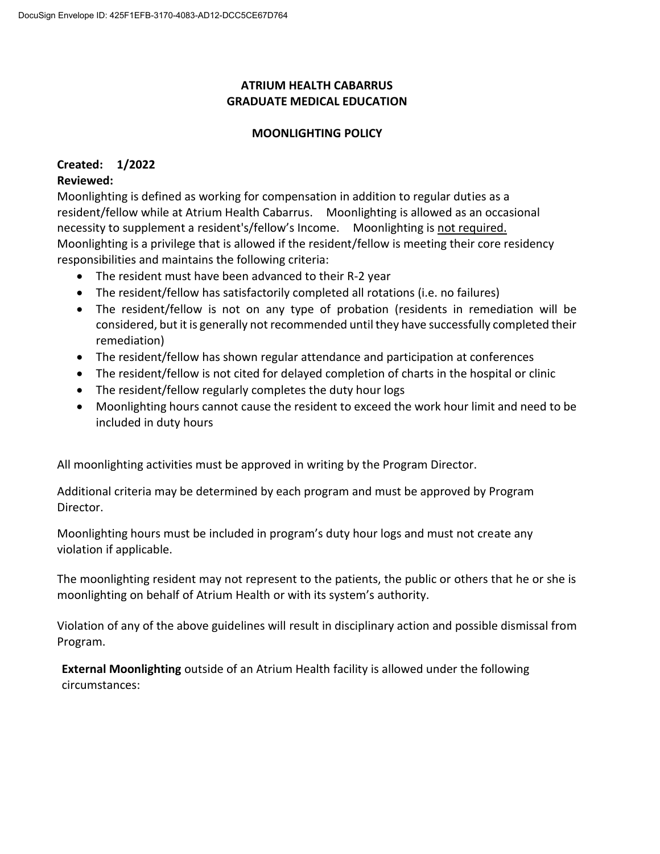## **ATRIUM HEALTH CABARRUS GRADUATE MEDICAL EDUCATION**

## **MOONLIGHTING POLICY**

## **Created: 1/2022 Reviewed:**

Moonlighting is defined as working for compensation in addition to regular duties as a resident/fellow while at Atrium Health Cabarrus. Moonlighting is allowed as an occasional necessity to supplement a resident's/fellow's Income. Moonlighting is not required. Moonlighting is a privilege that is allowed if the resident/fellow is meeting their core residency responsibilities and maintains the following criteria:

- The resident must have been advanced to their R-2 year
- The resident/fellow has satisfactorily completed all rotations (i.e. no failures)
- The resident/fellow is not on any type of probation (residents in remediation will be considered, but it is generally not recommended until they have successfully completed their remediation)
- The resident/fellow has shown regular attendance and participation at conferences
- The resident/fellow is not cited for delayed completion of charts in the hospital or clinic
- The resident/fellow regularly completes the duty hour logs
- Moonlighting hours cannot cause the resident to exceed the work hour limit and need to be included in duty hours

All moonlighting activities must be approved in writing by the Program Director.

Additional criteria may be determined by each program and must be approved by Program Director.

Moonlighting hours must be included in program's duty hour logs and must not create any violation if applicable.

The moonlighting resident may not represent to the patients, the public or others that he or she is moonlighting on behalf of Atrium Health or with its system's authority.

Violation of any of the above guidelines will result in disciplinary action and possible dismissal from Program.

**External Moonlighting** outside of an Atrium Health facility is allowed under the following circumstances: